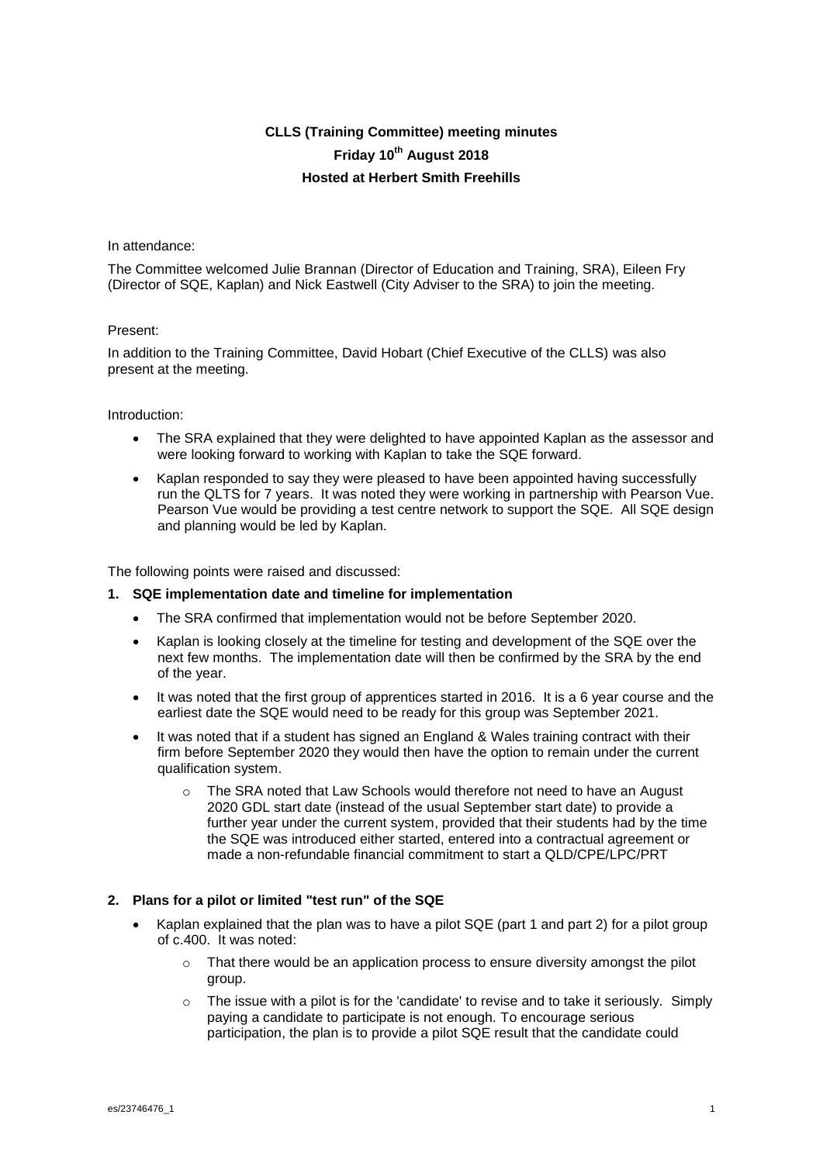# **CLLS (Training Committee) meeting minutes Friday 10th August 2018 Hosted at Herbert Smith Freehills**

#### In attendance:

The Committee welcomed Julie Brannan (Director of Education and Training, SRA), Eileen Fry (Director of SQE, Kaplan) and Nick Eastwell (City Adviser to the SRA) to join the meeting.

## Present:

In addition to the Training Committee, David Hobart (Chief Executive of the CLLS) was also present at the meeting.

#### Introduction:

- The SRA explained that they were delighted to have appointed Kaplan as the assessor and were looking forward to working with Kaplan to take the SQE forward.
- Kaplan responded to say they were pleased to have been appointed having successfully run the QLTS for 7 years. It was noted they were working in partnership with Pearson Vue. Pearson Vue would be providing a test centre network to support the SQE. All SQE design and planning would be led by Kaplan.

The following points were raised and discussed:

#### **1. SQE implementation date and timeline for implementation**

- The SRA confirmed that implementation would not be before September 2020.
- Kaplan is looking closely at the timeline for testing and development of the SQE over the next few months. The implementation date will then be confirmed by the SRA by the end of the year.
- It was noted that the first group of apprentices started in 2016. It is a 6 year course and the earliest date the SQE would need to be ready for this group was September 2021.
- It was noted that if a student has signed an England & Wales training contract with their firm before September 2020 they would then have the option to remain under the current qualification system.
	- $\circ$  The SRA noted that Law Schools would therefore not need to have an August 2020 GDL start date (instead of the usual September start date) to provide a further year under the current system, provided that their students had by the time the SQE was introduced either started, entered into a contractual agreement or made a non-refundable financial commitment to start a QLD/CPE/LPC/PRT

# **2. Plans for a pilot or limited "test run" of the SQE**

- Kaplan explained that the plan was to have a pilot SQE (part 1 and part 2) for a pilot group of c.400. It was noted:
	- $\circ$  That there would be an application process to ensure diversity amongst the pilot group.
	- $\circ$  The issue with a pilot is for the 'candidate' to revise and to take it seriously. Simply paying a candidate to participate is not enough. To encourage serious participation, the plan is to provide a pilot SQE result that the candidate could